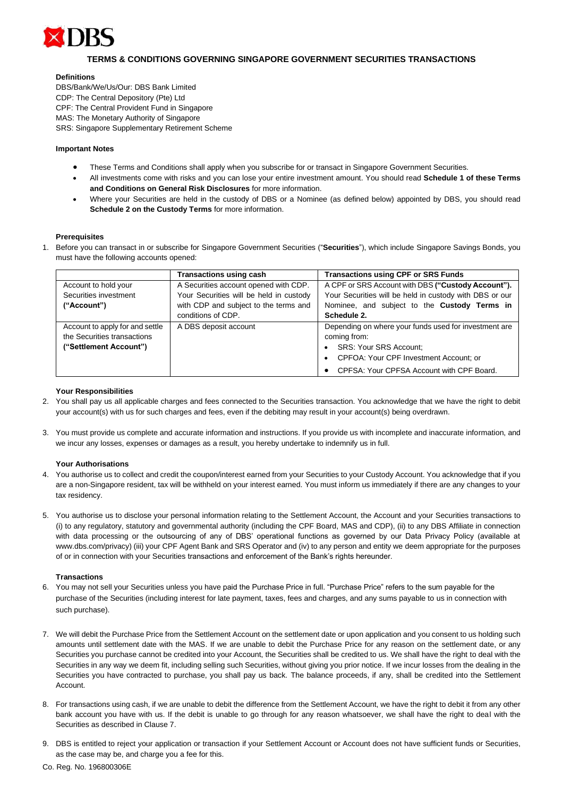

# **TERMS & CONDITIONS GOVERNING SINGAPORE GOVERNMENT SECURITIES TRANSACTIONS**

## **Definitions**

DBS/Bank/We/Us/Our: DBS Bank Limited

- CDP: The Central Depository (Pte) Ltd
- CPF: The Central Provident Fund in Singapore
- MAS: The Monetary Authority of Singapore
- SRS: Singapore Supplementary Retirement Scheme

### **Important Notes**

- These Terms and Conditions shall apply when you subscribe for or transact in Singapore Government Securities.
- All investments come with risks and you can lose your entire investment amount. You should read **Schedule 1 of these Terms and Conditions on General Risk Disclosures** for more information.
- Where your Securities are held in the custody of DBS or a Nominee (as defined below) appointed by DBS, you should read **Schedule 2 on the Custody Terms** for more information.

#### **Prerequisites**

1. Before you can transact in or subscribe for Singapore Government Securities ("**Securities**"), which include Singapore Savings Bonds, you must have the following accounts opened:

|                                 | <b>Transactions using cash</b>          | <b>Transactions using CPF or SRS Funds</b>              |
|---------------------------------|-----------------------------------------|---------------------------------------------------------|
| Account to hold your            | A Securities account opened with CDP.   | A CPF or SRS Account with DBS ("Custody Account").      |
| Securities investment           | Your Securities will be held in custody | Your Securities will be held in custody with DBS or our |
| ("Account")                     | with CDP and subject to the terms and   | Nominee, and subject to the Custody Terms in            |
|                                 | conditions of CDP.                      | Schedule 2.                                             |
| Account to apply for and settle | A DBS deposit account                   | Depending on where your funds used for investment are   |
| the Securities transactions     |                                         | coming from:                                            |
| ("Settlement Account")          |                                         | • SRS: Your SRS Account;                                |
|                                 |                                         | CPFOA: Your CPF Investment Account; or                  |
|                                 |                                         | CPFSA: Your CPFSA Account with CPF Board.               |

## **Your Responsibilities**

- 2. You shall pay us all applicable charges and fees connected to the Securities transaction. You acknowledge that we have the right to debit your account(s) with us for such charges and fees, even if the debiting may result in your account(s) being overdrawn.
- 3. You must provide us complete and accurate information and instructions. If you provide us with incomplete and inaccurate information, and we incur any losses, expenses or damages as a result, you hereby undertake to indemnify us in full.

#### **Your Authorisations**

- 4. You authorise us to collect and credit the coupon/interest earned from your Securities to your Custody Account. You acknowledge that if you are a non-Singapore resident, tax will be withheld on your interest earned. You must inform us immediately if there are any changes to your tax residency.
- 5. You authorise us to disclose your personal information relating to the Settlement Account, the Account and your Securities transactions to (i) to any regulatory, statutory and governmental authority (including the CPF Board, MAS and CDP), (ii) to any DBS Affiliate in connection with data processing or the outsourcing of any of DBS' operational functions as governed by our Data Privacy Policy (available at www.dbs.com/privacy) (iii) your CPF Agent Bank and SRS Operator and (iv) to any person and entity we deem appropriate for the purposes of or in connection with your Securities transactions and enforcement of the Bank's rights hereunder.

#### **Transactions**

- 6. You may not sell your Securities unless you have paid the Purchase Price in full. "Purchase Price" refers to the sum payable for the purchase of the Securities (including interest for late payment, taxes, fees and charges, and any sums payable to us in connection with such purchase).
- 7. We will debit the Purchase Price from the Settlement Account on the settlement date or upon application and you consent to us holding such amounts until settlement date with the MAS. If we are unable to debit the Purchase Price for any reason on the settlement date, or any Securities you purchase cannot be credited into your Account, the Securities shall be credited to us. We shall have the right to deal with the Securities in any way we deem fit, including selling such Securities, without giving you prior notice. If we incur losses from the dealing in the Securities you have contracted to purchase, you shall pay us back. The balance proceeds, if any, shall be credited into the Settlement Account.
- 8. For transactions using cash, if we are unable to debit the difference from the Settlement Account, we have the right to debit it from any other bank account you have with us. If the debit is unable to go through for any reason whatsoever, we shall have the right to deal with the Securities as described in Clause 7.
- 9. DBS is entitled to reject your application or transaction if your Settlement Account or Account does not have sufficient funds or Securities, as the case may be, and charge you a fee for this.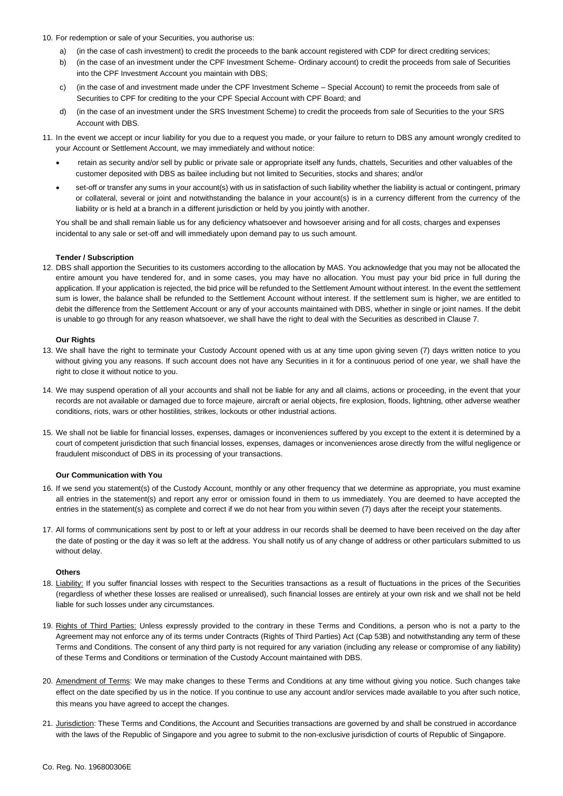10. For redemption or sale of your Securities, you authorise us:

- a) (in the case of cash investment) to credit the proceeds to the bank account registered with CDP for direct crediting services;
- b) (in the case of an investment under the CPF Investment Scheme- Ordinary account) to credit the proceeds from sale of Securities into the CPF Investment Account you maintain with DBS;
- c) (in the case of and investment made under the CPF Investment Scheme Special Account) to remit the proceeds from sale of Securities to CPF for crediting to the your CPF Special Account with CPF Board; and
- d) (in the case of an investment under the SRS Investment Scheme) to credit the proceeds from sale of Securities to the your SRS Account with DBS.
- 11. In the event we accept or incur liability for you due to a request you made, or your failure to return to DBS any amount wrongly credited to your Account or Settlement Account, we may immediately and without notice:
	- retain as security and/or sell by public or private sale or appropriate itself any funds, chattels, Securities and other valuables of the customer deposited with DBS as bailee including but not limited to Securities, stocks and shares; and/or
	- set-off or transfer any sums in your account(s) with us in satisfaction of such liability whether the liability is actual or contingent, primary or collateral, several or joint and notwithstanding the balance in your account(s) is in a currency different from the currency of the liability or is held at a branch in a different jurisdiction or held by you jointly with another.

You shall be and shall remain liable us for any deficiency whatsoever and howsoever arising and for all costs, charges and expenses incidental to any sale or set-off and will immediately upon demand pay to us such amount.

## **Tender / Subscription**

12. DBS shall apportion the Securities to its customers according to the allocation by MAS. You acknowledge that you may not be allocated the entire amount you have tendered for, and in some cases, you may have no allocation. You must pay your bid price in full during the application. If your application is rejected, the bid price will be refunded to the Settlement Amount without interest. In the event the settlement sum is lower, the balance shall be refunded to the Settlement Account without interest. If the settlement sum is higher, we are entitled to debit the difference from the Settlement Account or any of your accounts maintained with DBS, whether in single or joint names. If the debit is unable to go through for any reason whatsoever, we shall have the right to deal with the Securities as described in Clause 7.

## **Our Rights**

- 13. We shall have the right to terminate your Custody Account opened with us at any time upon giving seven (7) days written notice to you without giving you any reasons. If such account does not have any Securities in it for a continuous period of one year, we shall have the right to close it without notice to you.
- 14. We may suspend operation of all your accounts and shall not be liable for any and all claims, actions or proceeding, in the event that your records are not available or damaged due to force majeure, aircraft or aerial objects, fire explosion, floods, lightning, other adverse weather conditions, riots, wars or other hostilities, strikes, lockouts or other industrial actions.
- 15. We shall not be liable for financial losses, expenses, damages or inconveniences suffered by you except to the extent it is determined by a court of competent jurisdiction that such financial losses, expenses, damages or inconveniences arose directly from the wilful negligence or fraudulent misconduct of DBS in its processing of your transactions.

## **Our Communication with You**

- 16. If we send you statement(s) of the Custody Account, monthly or any other frequency that we determine as appropriate, you must examine all entries in the statement(s) and report any error or omission found in them to us immediately. You are deemed to have accepted the entries in the statement(s) as complete and correct if we do not hear from you within seven (7) days after the receipt your statements.
- 17. All forms of communications sent by post to or left at your address in our records shall be deemed to have been received on the day after the date of posting or the day it was so left at the address. You shall notify us of any change of address or other particulars submitted to us without delay.

#### **Others**

- 18. Liability: If you suffer financial losses with respect to the Securities transactions as a result of fluctuations in the prices of the Securities (regardless of whether these losses are realised or unrealised), such financial losses are entirely at your own risk and we shall not be held liable for such losses under any circumstances.
- 19. Rights of Third Parties: Unless expressly provided to the contrary in these Terms and Conditions, a person who is not a party to the Agreement may not enforce any of its terms under Contracts (Rights of Third Parties) Act (Cap 53B) and notwithstanding any term of these Terms and Conditions. The consent of any third party is not required for any variation (including any release or compromise of any liability) of these Terms and Conditions or termination of the Custody Account maintained with DBS.
- 20. Amendment of Terms: We may make changes to these Terms and Conditions at any time without giving you notice. Such changes take effect on the date specified by us in the notice. If you continue to use any account and/or services made available to you after such notice, this means you have agreed to accept the changes.
- 21. Jurisdiction: These Terms and Conditions, the Account and Securities transactions are governed by and shall be construed in accordance with the laws of the Republic of Singapore and you agree to submit to the non-exclusive jurisdiction of courts of Republic of Singapore.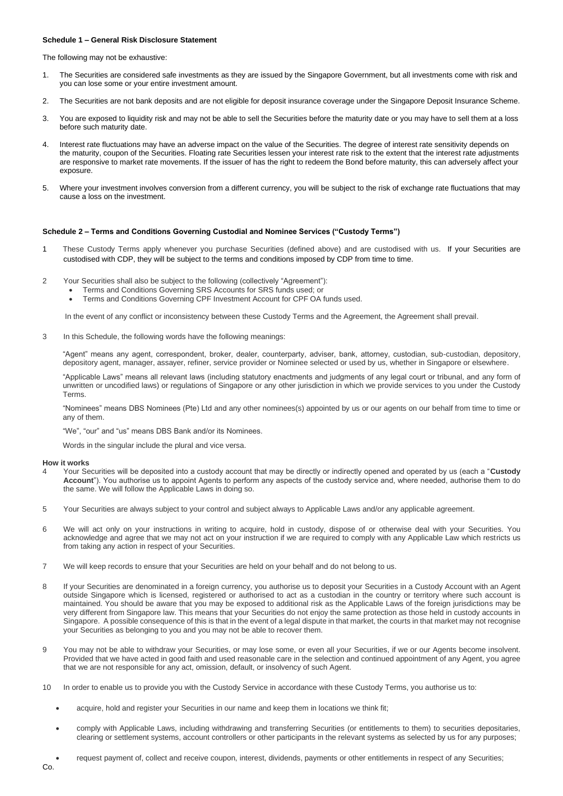#### **Schedule 1 – General Risk Disclosure Statement**

The following may not be exhaustive:

- 1. The Securities are considered safe investments as they are issued by the Singapore Government, but all investments come with risk and you can lose some or your entire investment amount.
- 2. The Securities are not bank deposits and are not eligible for deposit insurance coverage under the Singapore Deposit Insurance Scheme.
- 3. You are exposed to liquidity risk and may not be able to sell the Securities before the maturity date or you may have to sell them at a loss before such maturity date.
- 4. Interest rate fluctuations may have an adverse impact on the value of the Securities. The degree of interest rate sensitivity depends on the maturity, coupon of the Securities. Floating rate Securities lessen your interest rate risk to the extent that the interest rate adjustments are responsive to market rate movements. If the issuer of has the right to redeem the Bond before maturity, this can adversely affect your exposure.
- 5. Where your investment involves conversion from a different currency, you will be subject to the risk of exchange rate fluctuations that may cause a loss on the investment.

## **Schedule 2 – Terms and Conditions Governing Custodial and Nominee Services ("Custody Terms")**

- 1 These Custody Terms apply whenever you purchase Securities (defined above) and are custodised with us. If your Securities are custodised with CDP, they will be subject to the terms and conditions imposed by CDP from time to time.
- 2 Your Securities shall also be subject to the following (collectively "Agreement"):
	- Terms and Conditions Governing SRS Accounts for SRS funds used; or
	- Terms and Conditions Governing CPF Investment Account for CPF OA funds used.

In the event of any conflict or inconsistency between these Custody Terms and the Agreement, the Agreement shall prevail.

3 In this Schedule, the following words have the following meanings:

"Agent" means any agent, correspondent, broker, dealer, counterparty, adviser, bank, attorney, custodian, sub-custodian, depository, depository agent, manager, assayer, refiner, service provider or Nominee selected or used by us, whether in Singapore or elsewhere.

"Applicable Laws" means all relevant laws (including statutory enactments and judgments of any legal court or tribunal, and any form of unwritten or uncodified laws) or regulations of Singapore or any other jurisdiction in which we provide services to you under the Custody Terms.

"Nominees" means DBS Nominees (Pte) Ltd and any other nominees(s) appointed by us or our agents on our behalf from time to time or any of them.

"We", "our" and "us" means DBS Bank and/or its Nominees.

Words in the singular include the plural and vice versa.

#### **How it works**

- 4 Your Securities will be deposited into a custody account that may be directly or indirectly opened and operated by us (each a "**Custody Account**"). You authorise us to appoint Agents to perform any aspects of the custody service and, where needed, authorise them to do the same. We will follow the Applicable Laws in doing so.
- 5 Your Securities are always subject to your control and subject always to Applicable Laws and/or any applicable agreement.
- 6 We will act only on your instructions in writing to acquire, hold in custody, dispose of or otherwise deal with your Securities. You acknowledge and agree that we may not act on your instruction if we are required to comply with any Applicable Law which restricts us from taking any action in respect of your Securities.
- 7 We will keep records to ensure that your Securities are held on your behalf and do not belong to us.
- 8 If your Securities are denominated in a foreign currency, you authorise us to deposit your Securities in a Custody Account with an Agent outside Singapore which is licensed, registered or authorised to act as a custodian in the country or territory where such account is maintained. You should be aware that you may be exposed to additional risk as the Applicable Laws of the foreign jurisdictions may be very different from Singapore law. This means that your Securities do not enjoy the same protection as those held in custody accounts in Singapore. A possible consequence of this is that in the event of a legal dispute in that market, the courts in that market may not recognise your Securities as belonging to you and you may not be able to recover them.
- 9 You may not be able to withdraw your Securities, or may lose some, or even all your Securities, if we or our Agents become insolvent. Provided that we have acted in good faith and used reasonable care in the selection and continued appointment of any Agent, you agree that we are not responsible for any act, omission, default, or insolvency of such Agent.
- 10 In order to enable us to provide you with the Custody Service in accordance with these Custody Terms, you authorise us to:
	- acquire, hold and register your Securities in our name and keep them in locations we think fit;
	- comply with Applicable Laws, including withdrawing and transferring Securities (or entitlements to them) to securities depositaries, clearing or settlement systems, account controllers or other participants in the relevant systems as selected by us for any purposes;
	- request payment of, collect and receive coupon, interest, dividends, payments or other entitlements in respect of any Securities;
- Co.